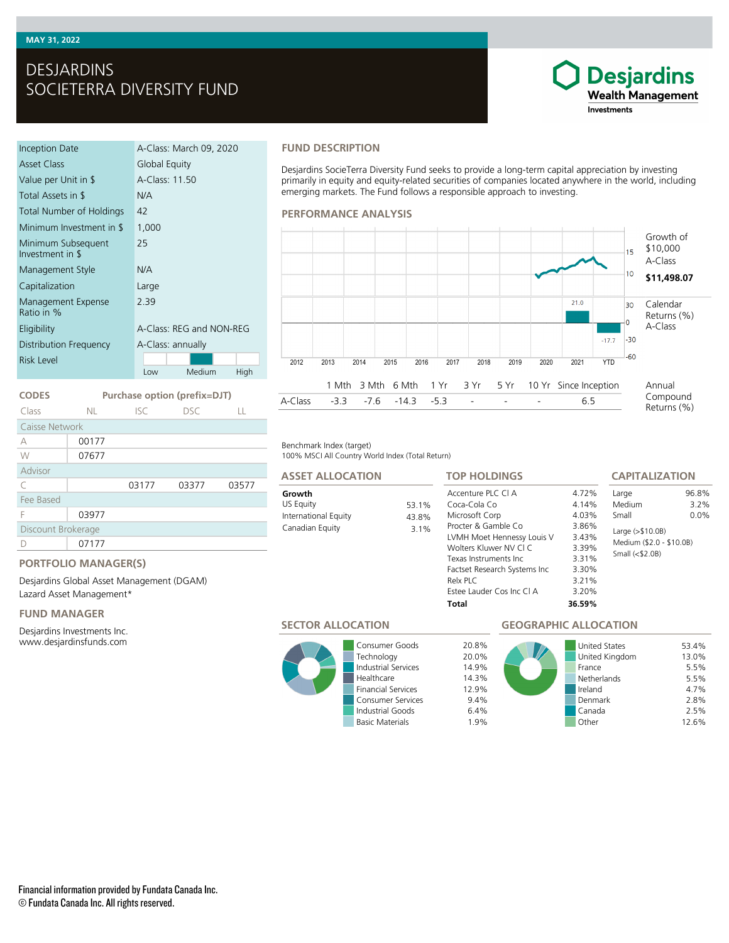# DESJARDINS SOCIETERRA DIVERSITY FUND

| Inception Date                         | A-Class: March 09, 2020  |  |  |  |
|----------------------------------------|--------------------------|--|--|--|
| Asset Class                            | Global Equity            |  |  |  |
| Value per Unit in \$                   | A-Class: 11.50           |  |  |  |
| Total Assets in \$                     | N/A                      |  |  |  |
| Total Number of Holdings               | 42                       |  |  |  |
| Minimum Investment in \$               | 1,000                    |  |  |  |
| Minimum Subsequent<br>Investment in \$ | 25                       |  |  |  |
| Management Style                       | N/A                      |  |  |  |
| Capitalization                         | Large                    |  |  |  |
| Management Expense<br>Ratio in %       | 2.39                     |  |  |  |
| Eligibility                            | A-Class: REG and NON-REG |  |  |  |
| Distribution Frequency                 | A-Class: annually        |  |  |  |
| Risk Level                             |                          |  |  |  |
|                                        | Medium<br>High<br>Low    |  |  |  |

# **FUND DESCRIPTION**

Desjardins SocieTerra Diversity Fund seeks to provide a long-term capital appreciation by investing primarily in equity and equity-related securities of companies located anywhere in the world, including emerging markets. The Fund follows a responsible approach to investing.

## **PERFORMANCE ANALYSIS**



### Benchmark Index (target)

100% MSCI All Country World Index (Total Return)

53.1% 43.8%  $3.1%$ 

# **ASSET ALLOCATION**

| Growth               |
|----------------------|
| US Equity            |
| International Equity |
| Canadian Fouity      |

| <b>TOP HOLDINGS</b>          |        | <b>CAPITALIZATION</b>                        |       |  |
|------------------------------|--------|----------------------------------------------|-------|--|
| Accenture PLC CLA            | 4.72%  | Large                                        | 96.8% |  |
| Coca-Cola Co                 | 4.14%  | Medium                                       | 3.2%  |  |
| Microsoft Corp               | 4.03%  | Small                                        | 0.0%  |  |
| Procter & Gamble Co.         | 3.86%  | Large (>\$10.0B)<br>Medium (\$2.0 - \$10.0B) |       |  |
| LVMH Moet Hennessy Louis V   | 3.43%  |                                              |       |  |
| Wolters Kluwer NV CLC        | 3.39%  |                                              |       |  |
| Texas Instruments Inc.       | 3.31%  | Small $($2.0B)$                              |       |  |
| Factset Research Systems Inc | 3.30%  |                                              |       |  |
| Relx PLC                     | 3.21%  |                                              |       |  |
| Estee Lauder Cos Inc CLA     | 3.20%  |                                              |       |  |
| Total                        | 36.59% |                                              |       |  |

# **SECTOR ALLOCATION**



Consumer Goods 20.8% Technology 20.0%<br>
Industrial Services 14.9% **Industrial Services** Healthcare 14.3%<br>Financial Services 12.9% Financial Services Consumer Services 9.4% Industrial Goods 6.4% Basic Materials 1.9%

# **GEOGRAPHIC ALLOCATION**



**Desjardins Wealth Management** 

Investments

**CODES Purchase option (prefix=DJT)**

| Class              | NL.   | ISC.  | DSC.  |       |  |  |
|--------------------|-------|-------|-------|-------|--|--|
| Caisse Network     |       |       |       |       |  |  |
| А                  | 00177 |       |       |       |  |  |
| W                  | 07677 |       |       |       |  |  |
| Advisor            |       |       |       |       |  |  |
| C                  |       | 03177 | 03377 | 03577 |  |  |
| Fee Based          |       |       |       |       |  |  |
| F                  | 03977 |       |       |       |  |  |
| Discount Brokerage |       |       |       |       |  |  |
|                    | 07177 |       |       |       |  |  |

# **PORTFOLIO MANAGER(S)**

Desjardins Global Asset Management (DGAM) Lazard Asset Management\*

# **FUND MANAGER**

Desjardins Investments Inc. www.desjardinsfunds.com